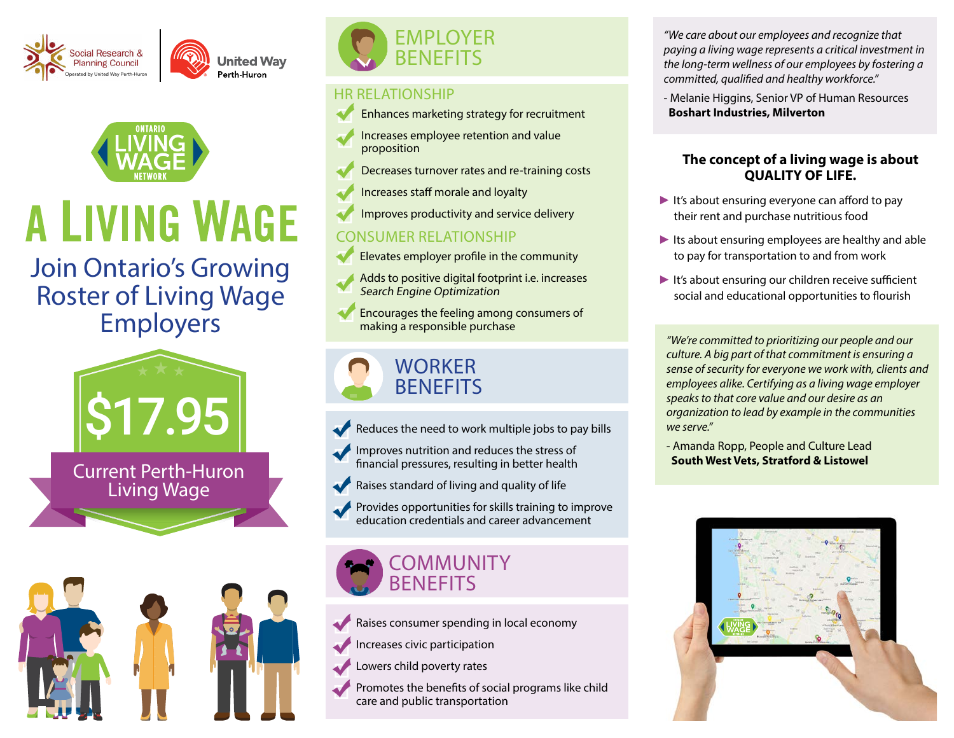



# **A LIVING WAGE**

# Join Ontario's Growing Roster of Living Wage Employers



Living Wage





#### HR RELATIONSHIP

- Enhances marketing strategy for recruitment
- Increases employee retention and value proposition
- Decreases turnover rates and re-training costs
- Increases staff morale and loyalty
- Improves productivity and service delivery

### CONSUMER RELATIONSHIP

- Elevates employer profile in the community
- Adds to positive digital footprint i.e. increases Search Engine Optimization
- Encourages the feeling among consumers of making a responsible purchase

# **WORKER BENEFITS**

- Reduces the need to work multiple jobs to pay bills
- Improves nutrition and reduces the stress of financial pressures, resulting in better health
- Raises standard of living and quality of life
- Provides opportunities for skills training to improve education credentials and career advancement

# **COMMUNITY BENEFITS**

Raises consumer spending in local economy

Increases civic participation

Lowers child poverty rates

Promotes the benefits of social programs like child care and public transportation

*"We care about our employees and recognize that paying a living wage represents a critical investment in the long-term wellness of our employees by fostering a committed, qualified and healthy workforce."*

- Melanie Higgins, Senior VP of Human Resources  **Boshart Industries, Milverton**

#### **The concept of a living wage is about QUALITY OF LIFE.**

- $\blacktriangleright$  It's about ensuring everyone can afford to pay their rent and purchase nutritious food
- ► Its about ensuring employees are healthy and able to pay for transportation to and from work
- ► It's about ensuring our children receive sufficient social and educational opportunities to flourish

*"We're committed to prioritizing our people and our culture. A big part of that commitment is ensuring a sense of security for everyone we work with, clients and employees alike. Certifying as a living wage employer speaks to that core value and our desire as an organization to lead by example in the communities we serve."*

- Amanda Ropp, People and Culture Lead  **South West Vets, Stratford & Listowel**